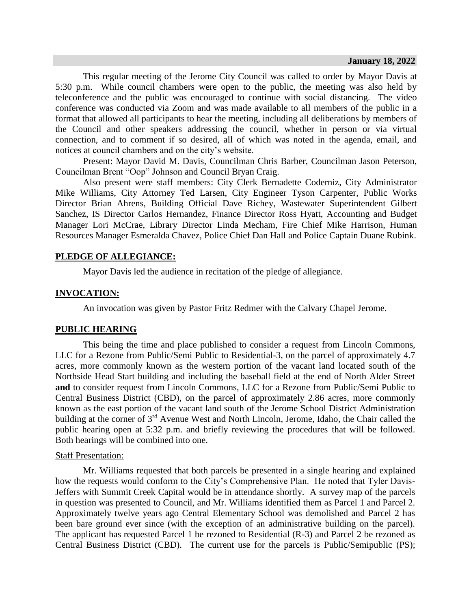This regular meeting of the Jerome City Council was called to order by Mayor Davis at 5:30 p.m. While council chambers were open to the public, the meeting was also held by teleconference and the public was encouraged to continue with social distancing. The video conference was conducted via Zoom and was made available to all members of the public in a format that allowed all participants to hear the meeting, including all deliberations by members of the Council and other speakers addressing the council, whether in person or via virtual connection, and to comment if so desired, all of which was noted in the agenda, email, and notices at council chambers and on the city's website.

Present: Mayor David M. Davis, Councilman Chris Barber, Councilman Jason Peterson, Councilman Brent "Oop" Johnson and Council Bryan Craig.

Also present were staff members: City Clerk Bernadette Coderniz, City Administrator Mike Williams, City Attorney Ted Larsen, City Engineer Tyson Carpenter, Public Works Director Brian Ahrens, Building Official Dave Richey, Wastewater Superintendent Gilbert Sanchez, IS Director Carlos Hernandez, Finance Director Ross Hyatt, Accounting and Budget Manager Lori McCrae, Library Director Linda Mecham, Fire Chief Mike Harrison, Human Resources Manager Esmeralda Chavez, Police Chief Dan Hall and Police Captain Duane Rubink.

# **PLEDGE OF ALLEGIANCE:**

Mayor Davis led the audience in recitation of the pledge of allegiance.

## **INVOCATION:**

An invocation was given by Pastor Fritz Redmer with the Calvary Chapel Jerome.

## **PUBLIC HEARING**

This being the time and place published to consider a request from Lincoln Commons, LLC for a Rezone from Public/Semi Public to Residential-3, on the parcel of approximately 4.7 acres, more commonly known as the western portion of the vacant land located south of the Northside Head Start building and including the baseball field at the end of North Alder Street **and** to consider request from Lincoln Commons, LLC for a Rezone from Public/Semi Public to Central Business District (CBD), on the parcel of approximately 2.86 acres, more commonly known as the east portion of the vacant land south of the Jerome School District Administration building at the corner of 3<sup>rd</sup> Avenue West and North Lincoln, Jerome, Idaho, the Chair called the public hearing open at 5:32 p.m. and briefly reviewing the procedures that will be followed. Both hearings will be combined into one.

#### **Staff Presentation:**

Mr. Williams requested that both parcels be presented in a single hearing and explained how the requests would conform to the City's Comprehensive Plan. He noted that Tyler Davis-Jeffers with Summit Creek Capital would be in attendance shortly. A survey map of the parcels in question was presented to Council, and Mr. Williams identified them as Parcel 1 and Parcel 2. Approximately twelve years ago Central Elementary School was demolished and Parcel 2 has been bare ground ever since (with the exception of an administrative building on the parcel). The applicant has requested Parcel 1 be rezoned to Residential (R-3) and Parcel 2 be rezoned as Central Business District (CBD). The current use for the parcels is Public/Semipublic (PS);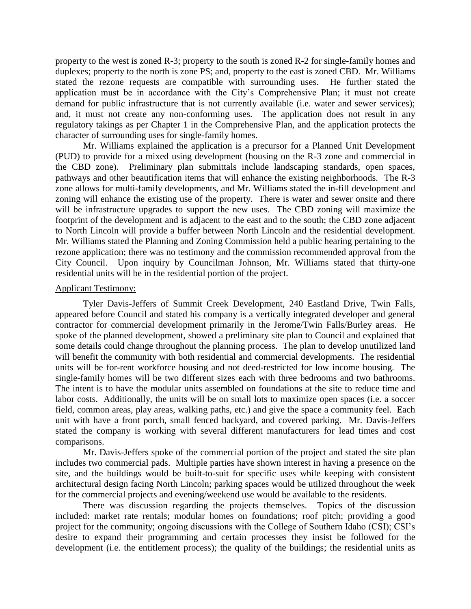property to the west is zoned R-3; property to the south is zoned R-2 for single-family homes and duplexes; property to the north is zone PS; and, property to the east is zoned CBD. Mr. Williams stated the rezone requests are compatible with surrounding uses. He further stated the application must be in accordance with the City's Comprehensive Plan; it must not create demand for public infrastructure that is not currently available (i.e. water and sewer services); and, it must not create any non-conforming uses. The application does not result in any regulatory takings as per Chapter 1 in the Comprehensive Plan, and the application protects the character of surrounding uses for single-family homes.

Mr. Williams explained the application is a precursor for a Planned Unit Development (PUD) to provide for a mixed using development (housing on the R-3 zone and commercial in the CBD zone). Preliminary plan submittals include landscaping standards, open spaces, pathways and other beautification items that will enhance the existing neighborhoods. The R-3 zone allows for multi-family developments, and Mr. Williams stated the in-fill development and zoning will enhance the existing use of the property. There is water and sewer onsite and there will be infrastructure upgrades to support the new uses. The CBD zoning will maximize the footprint of the development and is adjacent to the east and to the south; the CBD zone adjacent to North Lincoln will provide a buffer between North Lincoln and the residential development. Mr. Williams stated the Planning and Zoning Commission held a public hearing pertaining to the rezone application; there was no testimony and the commission recommended approval from the City Council. Upon inquiry by Councilman Johnson, Mr. Williams stated that thirty-one residential units will be in the residential portion of the project.

## Applicant Testimony:

Tyler Davis-Jeffers of Summit Creek Development, 240 Eastland Drive, Twin Falls, appeared before Council and stated his company is a vertically integrated developer and general contractor for commercial development primarily in the Jerome/Twin Falls/Burley areas. He spoke of the planned development, showed a preliminary site plan to Council and explained that some details could change throughout the planning process. The plan to develop unutilized land will benefit the community with both residential and commercial developments. The residential units will be for-rent workforce housing and not deed-restricted for low income housing. The single-family homes will be two different sizes each with three bedrooms and two bathrooms. The intent is to have the modular units assembled on foundations at the site to reduce time and labor costs. Additionally, the units will be on small lots to maximize open spaces (i.e. a soccer field, common areas, play areas, walking paths, etc.) and give the space a community feel. Each unit with have a front porch, small fenced backyard, and covered parking. Mr. Davis-Jeffers stated the company is working with several different manufacturers for lead times and cost comparisons.

Mr. Davis-Jeffers spoke of the commercial portion of the project and stated the site plan includes two commercial pads. Multiple parties have shown interest in having a presence on the site, and the buildings would be built-to-suit for specific uses while keeping with consistent architectural design facing North Lincoln; parking spaces would be utilized throughout the week for the commercial projects and evening/weekend use would be available to the residents.

There was discussion regarding the projects themselves. Topics of the discussion included: market rate rentals; modular homes on foundations; roof pitch; providing a good project for the community; ongoing discussions with the College of Southern Idaho (CSI); CSI's desire to expand their programming and certain processes they insist be followed for the development (i.e. the entitlement process); the quality of the buildings; the residential units as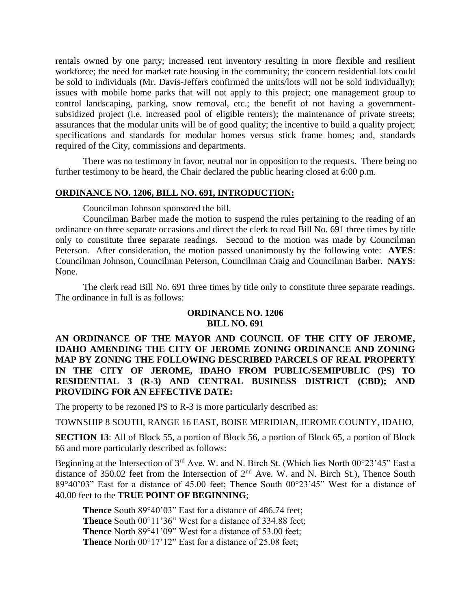rentals owned by one party; increased rent inventory resulting in more flexible and resilient workforce; the need for market rate housing in the community; the concern residential lots could be sold to individuals (Mr. Davis-Jeffers confirmed the units/lots will not be sold individually); issues with mobile home parks that will not apply to this project; one management group to control landscaping, parking, snow removal, etc.; the benefit of not having a governmentsubsidized project (i.e. increased pool of eligible renters); the maintenance of private streets; assurances that the modular units will be of good quality; the incentive to build a quality project; specifications and standards for modular homes versus stick frame homes; and, standards required of the City, commissions and departments.

There was no testimony in favor, neutral nor in opposition to the requests. There being no further testimony to be heard, the Chair declared the public hearing closed at 6:00 p.m.

# **ORDINANCE NO. 1206, BILL NO. 691, INTRODUCTION:**

Councilman Johnson sponsored the bill.

Councilman Barber made the motion to suspend the rules pertaining to the reading of an ordinance on three separate occasions and direct the clerk to read Bill No. 691 three times by title only to constitute three separate readings. Second to the motion was made by Councilman Peterson. After consideration, the motion passed unanimously by the following vote: **AYES**: Councilman Johnson, Councilman Peterson, Councilman Craig and Councilman Barber. **NAYS**: None.

The clerk read Bill No. 691 three times by title only to constitute three separate readings. The ordinance in full is as follows:

# **ORDINANCE NO. 1206 BILL NO. 691**

# **AN ORDINANCE OF THE MAYOR AND COUNCIL OF THE CITY OF JEROME, IDAHO AMENDING THE CITY OF JEROME ZONING ORDINANCE AND ZONING MAP BY ZONING THE FOLLOWING DESCRIBED PARCELS OF REAL PROPERTY IN THE CITY OF JEROME, IDAHO FROM PUBLIC/SEMIPUBLIC (PS) TO RESIDENTIAL 3 (R-3) AND CENTRAL BUSINESS DISTRICT (CBD); AND PROVIDING FOR AN EFFECTIVE DATE:**

The property to be rezoned PS to R-3 is more particularly described as:

TOWNSHIP 8 SOUTH, RANGE 16 EAST, BOISE MERIDIAN, JEROME COUNTY, IDAHO,

**SECTION 13:** All of Block 55, a portion of Block 56, a portion of Block 65, a portion of Block 66 and more particularly described as follows:

Beginning at the Intersection of 3rd Ave. W. and N. Birch St. (Which lies North 00°23'45" East a distance of 350.02 feet from the Intersection of  $2<sup>nd</sup>$  Ave. W. and N. Birch St.), Thence South 89°40'03" East for a distance of 45.00 feet; Thence South 00°23'45" West for a distance of 40.00 feet to the **TRUE POINT OF BEGINNING**;

**Thence** South 89°40'03" East for a distance of 486.74 feet; **Thence** South 00°11'36" West for a distance of 334.88 feet; **Thence** North 89°41'09" West for a distance of 53.00 feet; **Thence** North 00°17'12" East for a distance of 25.08 feet;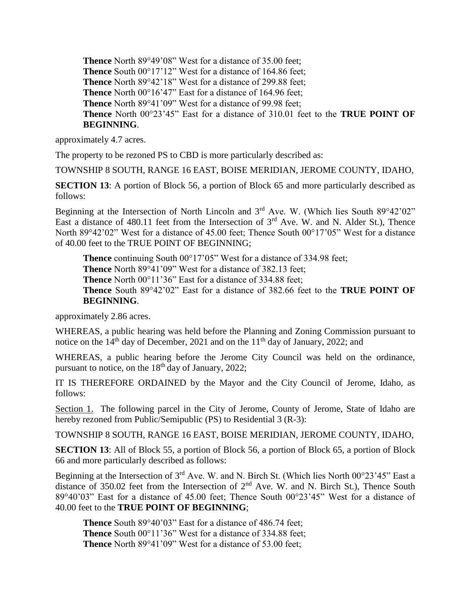**Thence** North 89°49'08" West for a distance of 35.00 feet; **Thence** South 00°17'12" West for a distance of 164.86 feet; **Thence** North 89°42'18" West for a distance of 299.88 feet; **Thence** North 00°16'47" East for a distance of 164.96 feet; **Thence** North 89°41'09" West for a distance of 99.98 feet; **Thence** North 00°23'45" East for a distance of 310.01 feet to the **TRUE POINT OF BEGINNING**.

approximately 4.7 acres.

The property to be rezoned PS to CBD is more particularly described as:

TOWNSHIP 8 SOUTH, RANGE 16 EAST, BOISE MERIDIAN, JEROME COUNTY, IDAHO,

**SECTION 13:** A portion of Block 56, a portion of Block 65 and more particularly described as follows:

Beginning at the Intersection of North Lincoln and  $3<sup>rd</sup>$  Ave. W. (Which lies South 89°42'02" East a distance of 480.11 feet from the Intersection of  $3<sup>rd</sup>$  Ave. W. and N. Alder St.), Thence North 89°42'02" West for a distance of 45.00 feet; Thence South 00°17'05" West for a distance of 40.00 feet to the TRUE POINT OF BEGINNING;

**Thence** continuing South 00°17'05" West for a distance of 334.98 feet;

**Thence** North 89°41'09" West for a distance of 382.13 feet;

**Thence** North 00°11'36" East for a distance of 334.88 feet;

**Thence** South 89°42'02" East for a distance of 382.66 feet to the **TRUE POINT OF BEGINNING**.

approximately 2.86 acres.

WHEREAS, a public hearing was held before the Planning and Zoning Commission pursuant to notice on the  $14<sup>th</sup>$  day of December, 2021 and on the  $11<sup>th</sup>$  day of January, 2022; and

WHEREAS, a public hearing before the Jerome City Council was held on the ordinance, pursuant to notice, on the  $18<sup>th</sup>$  day of January, 2022;

IT IS THEREFORE ORDAINED by the Mayor and the City Council of Jerome, Idaho, as follows:

Section 1. The following parcel in the City of Jerome, County of Jerome, State of Idaho are hereby rezoned from Public/Semipublic (PS) to Residential 3 (R-3):

TOWNSHIP 8 SOUTH, RANGE 16 EAST, BOISE MERIDIAN, JEROME COUNTY, IDAHO,

**SECTION 13:** All of Block 55, a portion of Block 56, a portion of Block 65, a portion of Block 66 and more particularly described as follows:

Beginning at the Intersection of 3<sup>rd</sup> Ave. W. and N. Birch St. (Which lies North 00°23'45" East a distance of 350.02 feet from the Intersection of  $2<sup>nd</sup>$  Ave. W. and N. Birch St.), Thence South 89°40'03" East for a distance of 45.00 feet; Thence South 00°23'45" West for a distance of 40.00 feet to the **TRUE POINT OF BEGINNING**;

**Thence** South 89°40'03" East for a distance of 486.74 feet; **Thence** South 00°11'36" West for a distance of 334.88 feet; **Thence** North 89°41'09" West for a distance of 53.00 feet;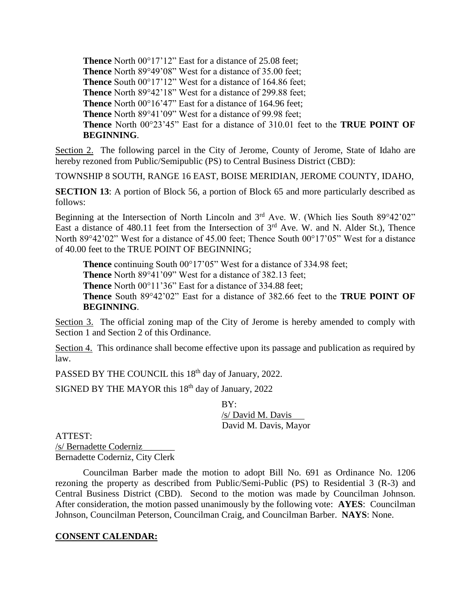**Thence** North 00°17'12" East for a distance of 25.08 feet; **Thence** North 89°49'08" West for a distance of 35.00 feet; **Thence** South 00°17'12" West for a distance of 164.86 feet; **Thence** North 89°42'18" West for a distance of 299.88 feet; **Thence** North 00°16'47" East for a distance of 164.96 feet; **Thence** North 89°41'09" West for a distance of 99.98 feet; **Thence** North 00°23'45" East for a distance of 310.01 feet to the **TRUE POINT OF BEGINNING**.

Section 2. The following parcel in the City of Jerome, County of Jerome, State of Idaho are hereby rezoned from Public/Semipublic (PS) to Central Business District (CBD):

TOWNSHIP 8 SOUTH, RANGE 16 EAST, BOISE MERIDIAN, JEROME COUNTY, IDAHO,

**SECTION 13:** A portion of Block 56, a portion of Block 65 and more particularly described as follows:

Beginning at the Intersection of North Lincoln and 3<sup>rd</sup> Ave. W. (Which lies South 89°42'02" East a distance of 480.11 feet from the Intersection of  $3<sup>rd</sup>$  Ave. W. and N. Alder St.), Thence North 89°42'02" West for a distance of 45.00 feet; Thence South 00°17'05" West for a distance of 40.00 feet to the TRUE POINT OF BEGINNING;

**Thence** continuing South 00°17'05" West for a distance of 334.98 feet; **Thence** North 89°41'09" West for a distance of 382.13 feet; **Thence** North 00°11'36" East for a distance of 334.88 feet; **Thence** South 89°42'02" East for a distance of 382.66 feet to the **TRUE POINT OF BEGINNING**.

Section 3. The official zoning map of the City of Jerome is hereby amended to comply with Section 1 and Section 2 of this Ordinance.

Section 4. This ordinance shall become effective upon its passage and publication as required by law.

PASSED BY THE COUNCIL this 18<sup>th</sup> day of January, 2022.

SIGNED BY THE MAYOR this  $18<sup>th</sup>$  day of January, 2022

BY: /s/ David M. Davis David M. Davis, Mayor

ATTEST:

/s/ Bernadette Coderniz\_\_\_\_\_\_\_ Bernadette Coderniz, City Clerk

Councilman Barber made the motion to adopt Bill No. 691 as Ordinance No. 1206 rezoning the property as described from Public/Semi-Public (PS) to Residential 3 (R-3) and Central Business District (CBD). Second to the motion was made by Councilman Johnson. After consideration, the motion passed unanimously by the following vote: **AYES**: Councilman Johnson, Councilman Peterson, Councilman Craig, and Councilman Barber. **NAYS**: None.

# **CONSENT CALENDAR:**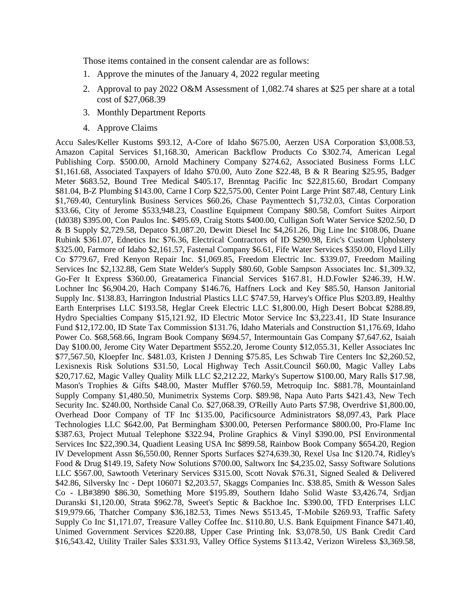Those items contained in the consent calendar are as follows:

- 1. Approve the minutes of the January 4, 2022 regular meeting
- 2. Approval to pay 2022 O&M Assessment of 1,082.74 shares at \$25 per share at a total cost of \$27,068.39
- 3. Monthly Department Reports
- 4. Approve Claims

Accu Sales/Keller Kustoms \$93.12, A-Core of Idaho \$675.00, Aerzen USA Corporation \$3,008.53, Amazon Capital Services \$1,168.30, American Backflow Products Co \$302.74, American Legal Publishing Corp. \$500.00, Arnold Machinery Company \$274.62, Associated Business Forms LLC \$1,161.68, Associated Taxpayers of Idaho \$70.00, Auto Zone \$22.48, B & R Bearing \$25.95, Badger Meter \$683.52, Bound Tree Medical \$405.17, Brenntag Pacific Inc \$22,815.60, Brodart Company \$81.04, B-Z Plumbing \$143.00, Carne I Corp \$22,575.00, Center Point Large Print \$87.48, Century Link \$1,769.40, Centurylink Business Services \$60.26, Chase Paymenttech \$1,732.03, Cintas Corporation \$33.66, City of Jerome \$533,948.23, Coastline Equipment Company \$80.58, Comfort Suites Airport (Id038) \$395.00, Con Paulos Inc. \$495.69, Craig Stotts \$400.00, Culligan Soft Water Service \$202.50, D & B Supply \$2,729.58, Depatco \$1,087.20, Dewitt Diesel Inc \$4,261.26, Dig Line Inc \$108.06, Duane Rubink \$361.07, Ednetics Inc \$76.36, Electrical Contractors of ID \$290.98, Eric's Custom Upholstery \$325.00, Farmore of Idaho \$2,161.57, Fastenal Company \$6.61, Fife Water Services \$350.00, Floyd Lilly Co \$779.67, Fred Kenyon Repair Inc. \$1,069.85, Freedom Electric Inc. \$339.07, Freedom Mailing Services Inc \$2,132.88, Gem State Welder's Supply \$80.60, Goble Sampson Associates Inc. \$1,309.32, Go-Fer It Express \$360.00, Greatamerica Financial Services \$167.81, H.D.Fowler \$246.39, H.W. Lochner Inc \$6,904.20, Hach Company \$146.76, Haffners Lock and Key \$85.50, Hanson Janitorial Supply Inc. \$138.83, Harrington Industrial Plastics LLC \$747.59, Harvey's Office Plus \$203.89, Healthy Earth Enterprises LLC \$193.58, Heglar Creek Electric LLC \$1,800.00, High Desert Bobcat \$288.89, Hydro Specialties Company \$15,121.92, ID Electric Motor Service Inc \$3,223.41, ID State Insurance Fund \$12,172.00, ID State Tax Commission \$131.76, Idaho Materials and Construction \$1,176.69, Idaho Power Co. \$68,568.66, Ingram Book Company \$694.57, Intermountain Gas Company \$7,647.62, Isaiah Day \$100.00, Jerome City Water Department \$552.20, Jerome County \$12,055.31, Keller Associates Inc \$77,567.50, Kloepfer Inc. \$481.03, Kristen J Denning \$75.85, Les Schwab Tire Centers Inc \$2,260.52, Lexisnexis Risk Solutions \$31.50, Local Highway Tech Assit.Council \$60.00, Magic Valley Labs \$20,717.62, Magic Valley Quality Milk LLC \$2,212.22, Marky's Supertow \$100.00, Mary Ralls \$17.98, Mason's Trophies & Gifts \$48.00, Master Muffler \$760.59, Metroquip Inc. \$881.78, Mountainland Supply Company \$1,480.50, Munimetrix Systems Corp. \$89.98, Napa Auto Parts \$421.43, New Tech Security Inc. \$240.00, Northside Canal Co. \$27,068.39, O'Reilly Auto Parts \$7.98, Overdrive \$1,800.00, Overhead Door Company of TF Inc \$135.00, Pacificsource Administrators \$8,097.43, Park Place Technologies LLC \$642.00, Pat Bermingham \$300.00, Petersen Performance \$800.00, Pro-Flame Inc \$387.63, Project Mutual Telephone \$322.94, Proline Graphics & Vinyl \$390.00, PSI Environmental Services Inc \$22,390.34, Quadient Leasing USA Inc \$899.58, Rainbow Book Company \$654.20, Region IV Development Assn \$6,550.00, Renner Sports Surfaces \$274,639.30, Rexel Usa Inc \$120.74, Ridley's Food & Drug \$149.19, Safety Now Solutions \$700.00, Saltworx Inc \$4,235.02, Sassy Software Solutions LLC \$567.00, Sawtooth Veterinary Services \$315.00, Scott Novak \$76.31, Signed Sealed & Delivered \$42.86, Silversky Inc - Dept 106071 \$2,203.57, Skaggs Companies Inc. \$38.85, Smith & Wesson Sales Co - LB#3890 \$86.30, Something More \$195.89, Southern Idaho Solid Waste \$3,426.74, Srdjan Duranski \$1,120.00, Strata \$962.78, Sweet's Septic & Backhoe Inc. \$390.00, TFD Enterprises LLC \$19,979.66, Thatcher Company \$36,182.53, Times News \$513.45, T-Mobile \$269.93, Traffic Safety Supply Co Inc \$1,171.07, Treasure Valley Coffee Inc. \$110.80, U.S. Bank Equipment Finance \$471.40, Unimed Government Services \$220.88, Upper Case Printing Ink. \$3,078.50, US Bank Credit Card \$16,543.42, Utility Trailer Sales \$331.93, Valley Office Systems \$113.42, Verizon Wireless \$3,369.58,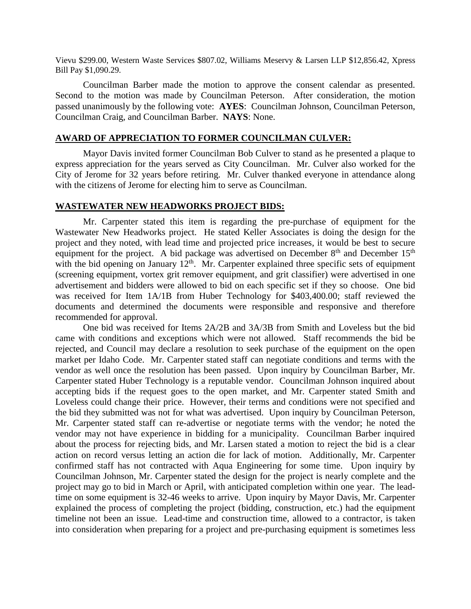Vievu \$299.00, Western Waste Services \$807.02, Williams Meservy & Larsen LLP \$12,856.42, Xpress Bill Pay \$1,090.29.

Councilman Barber made the motion to approve the consent calendar as presented. Second to the motion was made by Councilman Peterson. After consideration, the motion passed unanimously by the following vote: **AYES**: Councilman Johnson, Councilman Peterson, Councilman Craig, and Councilman Barber. **NAYS**: None.

## **AWARD OF APPRECIATION TO FORMER COUNCILMAN CULVER:**

Mayor Davis invited former Councilman Bob Culver to stand as he presented a plaque to express appreciation for the years served as City Councilman. Mr. Culver also worked for the City of Jerome for 32 years before retiring. Mr. Culver thanked everyone in attendance along with the citizens of Jerome for electing him to serve as Councilman.

# **WASTEWATER NEW HEADWORKS PROJECT BIDS:**

Mr. Carpenter stated this item is regarding the pre-purchase of equipment for the Wastewater New Headworks project. He stated Keller Associates is doing the design for the project and they noted, with lead time and projected price increases, it would be best to secure equipment for the project. A bid package was advertised on December  $8<sup>th</sup>$  and December 15<sup>th</sup> with the bid opening on January  $12^{th}$ . Mr. Carpenter explained three specific sets of equipment (screening equipment, vortex grit remover equipment, and grit classifier) were advertised in one advertisement and bidders were allowed to bid on each specific set if they so choose. One bid was received for Item 1A/1B from Huber Technology for \$403,400.00; staff reviewed the documents and determined the documents were responsible and responsive and therefore recommended for approval.

One bid was received for Items 2A/2B and 3A/3B from Smith and Loveless but the bid came with conditions and exceptions which were not allowed. Staff recommends the bid be rejected, and Council may declare a resolution to seek purchase of the equipment on the open market per Idaho Code. Mr. Carpenter stated staff can negotiate conditions and terms with the vendor as well once the resolution has been passed. Upon inquiry by Councilman Barber, Mr. Carpenter stated Huber Technology is a reputable vendor. Councilman Johnson inquired about accepting bids if the request goes to the open market, and Mr. Carpenter stated Smith and Loveless could change their price. However, their terms and conditions were not specified and the bid they submitted was not for what was advertised. Upon inquiry by Councilman Peterson, Mr. Carpenter stated staff can re-advertise or negotiate terms with the vendor; he noted the vendor may not have experience in bidding for a municipality. Councilman Barber inquired about the process for rejecting bids, and Mr. Larsen stated a motion to reject the bid is a clear action on record versus letting an action die for lack of motion. Additionally, Mr. Carpenter confirmed staff has not contracted with Aqua Engineering for some time. Upon inquiry by Councilman Johnson, Mr. Carpenter stated the design for the project is nearly complete and the project may go to bid in March or April, with anticipated completion within one year. The leadtime on some equipment is 32-46 weeks to arrive. Upon inquiry by Mayor Davis, Mr. Carpenter explained the process of completing the project (bidding, construction, etc.) had the equipment timeline not been an issue. Lead-time and construction time, allowed to a contractor, is taken into consideration when preparing for a project and pre-purchasing equipment is sometimes less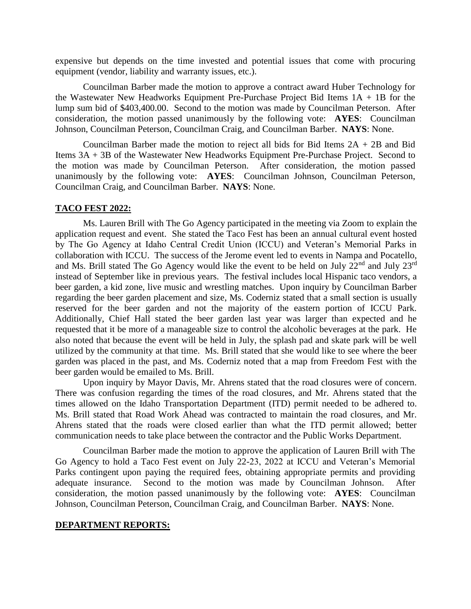expensive but depends on the time invested and potential issues that come with procuring equipment (vendor, liability and warranty issues, etc.).

Councilman Barber made the motion to approve a contract award Huber Technology for the Wastewater New Headworks Equipment Pre-Purchase Project Bid Items 1A + 1B for the lump sum bid of \$403,400.00. Second to the motion was made by Councilman Peterson. After consideration, the motion passed unanimously by the following vote: **AYES**: Councilman Johnson, Councilman Peterson, Councilman Craig, and Councilman Barber. **NAYS**: None.

Councilman Barber made the motion to reject all bids for Bid Items  $2A + 2B$  and Bid Items 3A + 3B of the Wastewater New Headworks Equipment Pre-Purchase Project. Second to the motion was made by Councilman Peterson. After consideration, the motion passed unanimously by the following vote: **AYES**: Councilman Johnson, Councilman Peterson, Councilman Craig, and Councilman Barber. **NAYS**: None.

### **TACO FEST 2022:**

Ms. Lauren Brill with The Go Agency participated in the meeting via Zoom to explain the application request and event. She stated the Taco Fest has been an annual cultural event hosted by The Go Agency at Idaho Central Credit Union (ICCU) and Veteran's Memorial Parks in collaboration with ICCU. The success of the Jerome event led to events in Nampa and Pocatello, and Ms. Brill stated The Go Agency would like the event to be held on July  $22<sup>nd</sup>$  and July  $23<sup>rd</sup>$ instead of September like in previous years. The festival includes local Hispanic taco vendors, a beer garden, a kid zone, live music and wrestling matches. Upon inquiry by Councilman Barber regarding the beer garden placement and size, Ms. Coderniz stated that a small section is usually reserved for the beer garden and not the majority of the eastern portion of ICCU Park. Additionally, Chief Hall stated the beer garden last year was larger than expected and he requested that it be more of a manageable size to control the alcoholic beverages at the park. He also noted that because the event will be held in July, the splash pad and skate park will be well utilized by the community at that time. Ms. Brill stated that she would like to see where the beer garden was placed in the past, and Ms. Coderniz noted that a map from Freedom Fest with the beer garden would be emailed to Ms. Brill.

Upon inquiry by Mayor Davis, Mr. Ahrens stated that the road closures were of concern. There was confusion regarding the times of the road closures, and Mr. Ahrens stated that the times allowed on the Idaho Transportation Department (ITD) permit needed to be adhered to. Ms. Brill stated that Road Work Ahead was contracted to maintain the road closures, and Mr. Ahrens stated that the roads were closed earlier than what the ITD permit allowed; better communication needs to take place between the contractor and the Public Works Department.

Councilman Barber made the motion to approve the application of Lauren Brill with The Go Agency to hold a Taco Fest event on July 22-23, 2022 at ICCU and Veteran's Memorial Parks contingent upon paying the required fees, obtaining appropriate permits and providing adequate insurance. Second to the motion was made by Councilman Johnson. After consideration, the motion passed unanimously by the following vote: **AYES**: Councilman Johnson, Councilman Peterson, Councilman Craig, and Councilman Barber. **NAYS**: None.

### **DEPARTMENT REPORTS:**